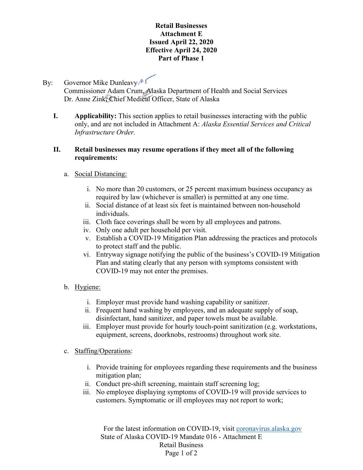## **Retail Businesses Attachment E Issued April 22, 2020 Effective April 24, 2020 Part of Phase 1**

# By: Governor Mike Dunleavy  $\mathbb{M}$ Commissioner Adam Crum, Alaska Department of Health and Social Services Dr. Anne Zink, Chief Medical Officer, State of Alaska

**I. Applicability:** This section applies to retail businesses interacting with the public only, and are not included in Attachment A: *Alaska Essential Services and Critical Infrastructure Order.*

## **II. Retail businesses may resume operations if they meet all of the following requirements:**

# a. Social Distancing:

- i. No more than 20 customers, or 25 percent maximum business occupancy as required by law (whichever is smaller) is permitted at any one time.
- ii. Social distance of at least six feet is maintained between non-household individuals.
- iii. Cloth face coverings shall be worn by all employees and patrons.
- iv. Only one adult per household per visit.
- v. Establish a COVID-19 Mitigation Plan addressing the practices and protocols to protect staff and the public.
- vi. Entryway signage notifying the public of the business's COVID-19 Mitigation Plan and stating clearly that any person with symptoms consistent with COVID-19 may not enter the premises.
- b. Hygiene:
	- i. Employer must provide hand washing capability or sanitizer.
	- ii. Frequent hand washing by employees, and an adequate supply of soap, disinfectant, hand sanitizer, and paper towels must be available.
	- iii. Employer must provide for hourly touch-point sanitization (e.g. workstations, equipment, screens, doorknobs, restrooms) throughout work site.
- c. Staffing/Operations:
	- i. Provide training for employees regarding these requirements and the business mitigation plan;
	- ii. Conduct pre-shift screening, maintain staff screening log;
	- iii. No employee displaying symptoms of COVID-19 will provide services to customers. Symptomatic or ill employees may not report to work;

For the latest information on COVID-19, visit [coronavirus.alaska.gov](http://coronavirus.alaska.gov/) State of Alaska COVID-19 Mandate 016 - Attachment E Retail Business Page 1 of 2